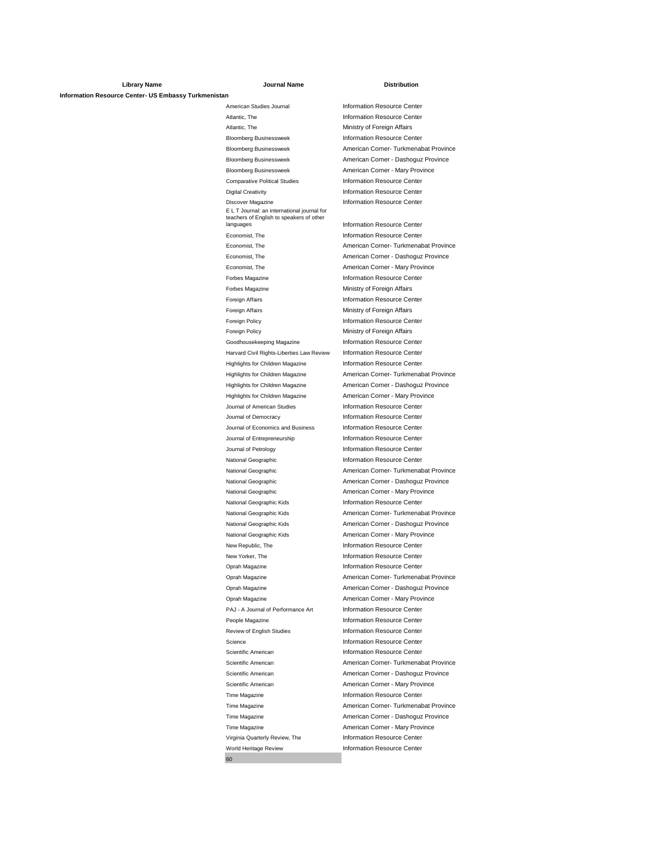## **Library Name Journal Name Distribution Information Resource Center- US Embassy Turkmenistan**

American Studies Journal **Information Resource Center** Atlantic, The **Information Resource Center** Atlantic, The **Ministry of Foreign Affairs** Bloomberg Businessweek Information Resource Center Bloomberg Businessweek American Corner - Dashoguz Province Bloomberg Businessweek American Corner - Mary Province Comparative Political Studies Information Resource Center **Digital Creativity Information Resource Center** Discover Magazine **Information Resource Center** E L T Journal: an international journal for<br>teachers of English to speakers of other<br>languages teachers of English to speakers of other Economist, The Information Resource Center Economist, The **American Corner - Dashoguz Province** Economist, The **American Corner - Mary Province** Forbes Magazine **Information Resource Center** Forbes Magazine **Ministry of Foreign Affairs** Foreign Affairs **Information Resource Center** Foreign Affairs **Ministry of Foreign Affairs** Foreign Policy **Information Resource Center** Foreign Policy **Ministry of Foreign Affairs** Goodhousekeeping Magazine **Information Resource Center** Harvard Civil Rights-Liberties Law Review Information Resource Center Highlights for Children Magazine **Information Resource Center** Highlights for Children Magazine **American Corner - Dashoguz Province** Highlights for Children Magazine American Corner - Mary Province Journal of American Studies Information Resource Center Journal of Democracy **Information Resource Center** Journal of Economics and Business Information Resource Center Journal of Entrepreneurship **Information Resource Center** Journal of Petrology **Information Resource Center** National Geographic **Information Resource Center** National Geographic **American Corner - Dashoguz Province** National Geographic **American Corner - Mary Province** National Geographic Kids **Information Resource Center** National Geographic Kids **American Corner - Dashoguz Province** National Geographic Kids **American Corner - Mary Province** New Republic, The **Information Resource Center** New Yorker, The **Information Resource Center** Oprah Magazine **Information Resource Center** Oprah Magazine **American Corner - Dashoguz Province** Oprah Magazine **American Corner - Mary Province** PAJ - A Journal of Performance Art Information Resource Center People Magazine **Information Resource Center** Review of English Studies **Information Resource Center** Science Information Resource Center Scientific American **Information Resource Center** Scientific American **American American Corner - Dashoguz Province** Scientific American **American** American Corner - Mary Province Time Magazine **Information Resource Center** Time Magazine **American Corner - Dashoguz Province** Time Magazine **American Corner - Mary Province** Virginia Quarterly Review, The Information Resource Center World Heritage Review **Information Resource Center** 

60

Bloomberg Businessweek American Corner- Turkmenabat Province Information Resource Center Economist, The **American Corner- Turkmenabat Province** Highlights for Children Magazine **American Corner- Turkmenabat Province** National Geographic **American Corner- Turkmenabat Province** National Geographic Kids **American Corner- Turkmenabat Province** Oprah Magazine **American Corner- Turkmenabat Province** Scientific American **American American Corner- Turkmenabat Province** Time Magazine **American Corner- Turkmenabat Province**